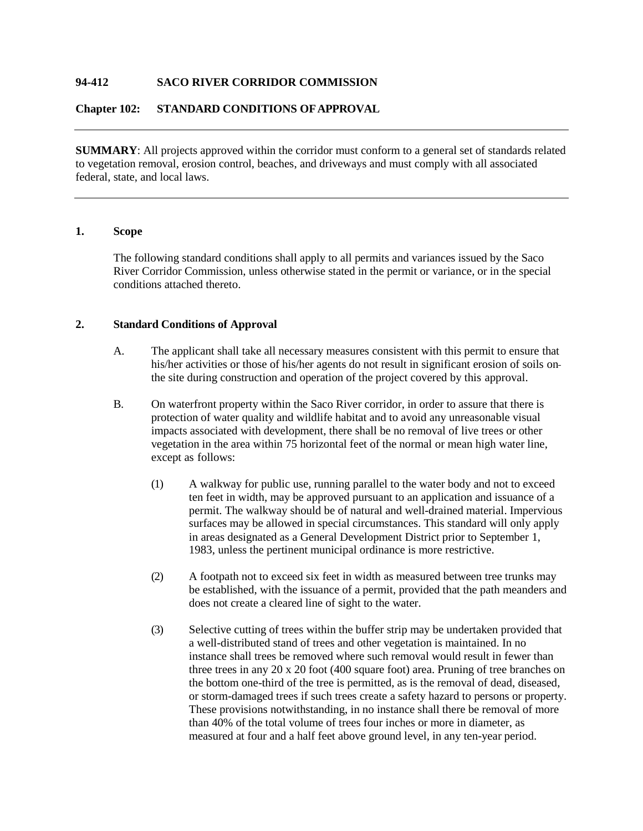# **94-412 SACO RIVER CORRIDOR COMMISSION**

### **Chapter 102: STANDARD CONDITIONS OFAPPROVAL**

**SUMMARY**: All projects approved within the corridor must conform to a general set of standards related to vegetation removal, erosion control, beaches, and driveways and must comply with all associated federal, state, and local laws.

# **1. Scope**

The following standard conditions shall apply to all permits and variances issued by the Saco River Corridor Commission, unless otherwise stated in the permit or variance, or in the special conditions attached thereto.

### **2. Standard Conditions of Approval**

- A. The applicant shall take all necessary measures consistent with this permit to ensure that his/her activities or those of his/her agents do not result in significant erosion of soils on the site during construction and operation of the project covered by this approval.
- B. On waterfront property within the Saco River corridor, in order to assure that there is protection of water quality and wildlife habitat and to avoid any unreasonable visual impacts associated with development, there shall be no removal of live trees or other vegetation in the area within 75 horizontal feet of the normal or mean high water line, except as follows:
	- (1) A walkway for public use, running parallel to the water body and not to exceed ten feet in width, may be approved pursuant to an application and issuance of a permit. The walkway should be of natural and well-drained material. Impervious surfaces may be allowed in special circumstances. This standard will only apply in areas designated as a General Development District prior to September 1, 1983, unless the pertinent municipal ordinance is more restrictive.
	- (2) A footpath not to exceed six feet in width as measured between tree trunks may be established, with the issuance of a permit, provided that the path meanders and does not create a cleared line of sight to the water.
	- (3) Selective cutting of trees within the buffer strip may be undertaken provided that a well-distributed stand of trees and other vegetation is maintained. In no instance shall trees be removed where such removal would result in fewer than three trees in any 20 x 20 foot (400 square foot) area. Pruning of tree branches on the bottom one-third of the tree is permitted, as is the removal of dead, diseased, or storm-damaged trees if such trees create a safety hazard to persons or property. These provisions notwithstanding, in no instance shall there be removal of more than 40% of the total volume of trees four inches or more in diameter, as measured at four and a half feet above ground level, in any ten-year period.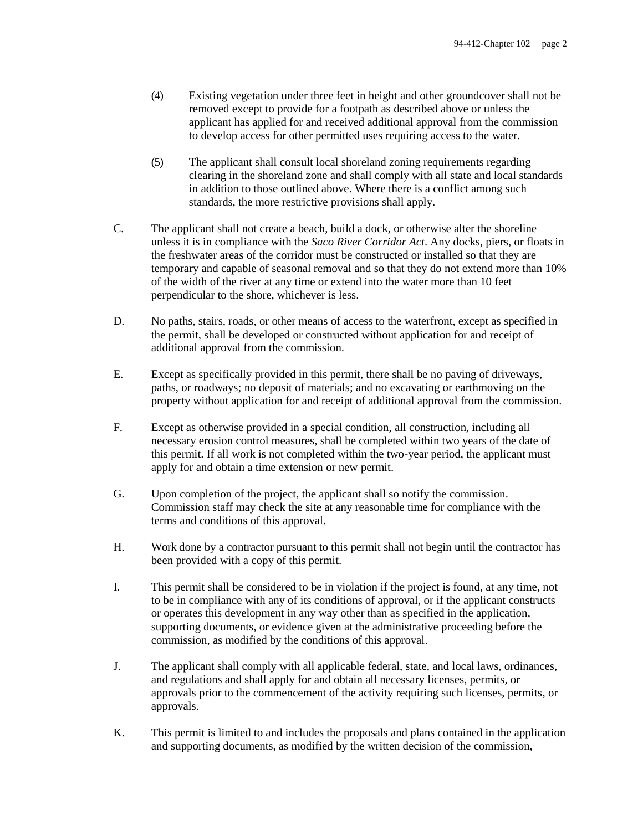- (4) Existing vegetation under three feet in height and other groundcover shall not be removed except to provide for a footpath as described above or unless the applicant has applied for and received additional approval from the commission to develop access for other permitted uses requiring access to the water.
- (5) The applicant shall consult local shoreland zoning requirements regarding clearing in the shoreland zone and shall comply with all state and local standards in addition to those outlined above. Where there is a conflict among such standards, the more restrictive provisions shall apply.
- C. The applicant shall not create a beach, build a dock, or otherwise alter the shoreline unless it is in compliance with the *Saco River Corridor Act*. Any docks, piers, or floats in the freshwater areas of the corridor must be constructed or installed so that they are temporary and capable of seasonal removal and so that they do not extend more than 10% of the width of the river at any time or extend into the water more than 10 feet perpendicular to the shore, whichever is less.
- D. No paths, stairs, roads, or other means of access to the waterfront, except as specified in the permit, shall be developed or constructed without application for and receipt of additional approval from the commission.
- E. Except as specifically provided in this permit, there shall be no paving of driveways, paths, or roadways; no deposit of materials; and no excavating or earthmoving on the property without application for and receipt of additional approval from the commission.
- F. Except as otherwise provided in a special condition, all construction, including all necessary erosion control measures, shall be completed within two years of the date of this permit. If all work is not completed within the two-year period, the applicant must apply for and obtain a time extension or new permit.
- G. Upon completion of the project, the applicant shall so notify the commission. Commission staff may check the site at any reasonable time for compliance with the terms and conditions of this approval.
- H. Work done by a contractor pursuant to this permit shall not begin until the contractor has been provided with a copy of this permit.
- I. This permit shall be considered to be in violation if the project is found, at any time, not to be in compliance with any of its conditions of approval, or if the applicant constructs or operates this development in any way other than as specified in the application, supporting documents, or evidence given at the administrative proceeding before the commission, as modified by the conditions of this approval.
- J. The applicant shall comply with all applicable federal, state, and local laws, ordinances*,* and regulations and shall apply for and obtain all necessary licenses, permits*,* or approvals prior to the commencement of the activity requiring such licenses, permits*,* or approvals.
- K. This permit is limited to and includes the proposals and plans contained in the application and supporting documents, as modified by the written decision of the commission,